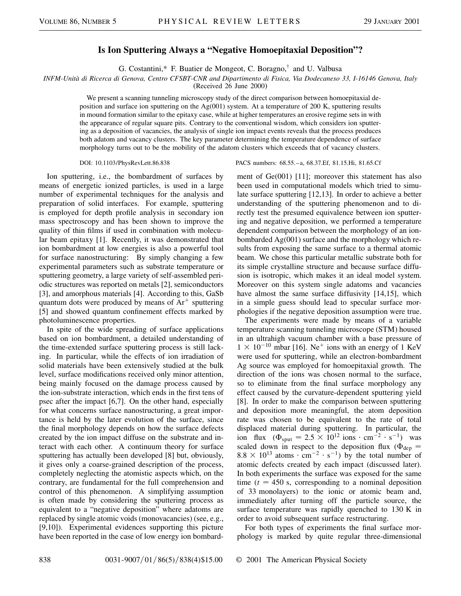## **Is Ion Sputtering Always a "Negative Homoepitaxial Deposition"?**

G. Costantini,\* F. Buatier de Mongeot, C. Boragno,† and U. Valbusa

*INFM-Unità di Ricerca di Genova, Centro CFSBT-CNR and Dipartimento di Fisica, Via Dodecaneso 33, I-16146 Genova, Italy*

(Received 26 June 2000)

We present a scanning tunneling microscopy study of the direct comparison between homoepitaxial deposition and surface ion sputtering on the Ag(001) system. At a temperature of 200 K, sputtering results in mound formation similar to the epitaxy case, while at higher temperatures an erosive regime sets in with the appearance of regular square pits. Contrary to the conventional wisdom, which considers ion sputtering as a deposition of vacancies, the analysis of single ion impact events reveals that the process produces both adatom and vacancy clusters. The key parameter determining the temperature dependence of surface morphology turns out to be the mobility of the adatom clusters which exceeds that of vacancy clusters.

Ion sputtering, i.e., the bombardment of surfaces by means of energetic ionized particles, is used in a large number of experimental techniques for the analysis and preparation of solid interfaces. For example, sputtering is employed for depth profile analysis in secondary ion mass spectroscopy and has been shown to improve the quality of thin films if used in combination with molecular beam epitaxy [1]. Recently, it was demonstrated that ion bombardment at low energies is also a powerful tool for surface nanostructuring: By simply changing a few experimental parameters such as substrate temperature or sputtering geometry, a large variety of self-assembled periodic structures was reported on metals [2], semiconductors [3], and amorphous materials [4]. According to this, GaSb quantum dots were produced by means of  $Ar^+$  sputtering [5] and showed quantum confinement effects marked by photoluminescence properties.

In spite of the wide spreading of surface applications based on ion bombardment, a detailed understanding of the time-extended surface sputtering process is still lacking. In particular, while the effects of ion irradiation of solid materials have been extensively studied at the bulk level, surface modifications received only minor attention, being mainly focused on the damage process caused by the ion-substrate interaction, which ends in the first tens of psec after the impact [6,7]. On the other hand, especially for what concerns surface nanostructuring, a great importance is held by the later evolution of the surface, since the final morphology depends on how the surface defects created by the ion impact diffuse on the substrate and interact with each other. A continuum theory for surface sputtering has actually been developed [8] but, obviously, it gives only a coarse-grained description of the process, completely neglecting the atomistic aspects which, on the contrary, are fundamental for the full comprehension and control of this phenomenon. A simplifying assumption is often made by considering the sputtering process as equivalent to a "negative deposition" where adatoms are replaced by single atomic voids (monovacancies) (see, e.g., [9,10]). Experimental evidences supporting this picture have been reported in the case of low energy ion bombard-

## DOI: 10.1103/PhysRevLett.86.838 PACS numbers: 68.55.–a, 68.37.Ef, 81.15.Hi, 81.65.Cf

ment of Ge(001) [11]; moreover this statement has also been used in computational models which tried to simulate surface sputtering [12,13]. In order to achieve a better understanding of the sputtering phenomenon and to directly test the presumed equivalence between ion sputtering and negative deposition, we performed a temperature dependent comparison between the morphology of an ionbombarded Ag(001) surface and the morphology which results from exposing the same surface to a thermal atomic beam. We chose this particular metallic substrate both for its simple crystalline structure and because surface diffusion is isotropic, which makes it an ideal model system. Moreover on this system single adatoms and vacancies have almost the same surface diffusivity [14,15], which in a simple guess should lead to specular surface morphologies if the negative deposition assumption were true.

The experiments were made by means of a variable temperature scanning tunneling microscope (STM) housed in an ultrahigh vacuum chamber with a base pressure of  $1 \times 10^{-10}$  mbar [16]. Ne<sup>+</sup> ions with an energy of 1 KeV were used for sputtering, while an electron-bombardment Ag source was employed for homoepitaxial growth. The direction of the ions was chosen normal to the surface, so to eliminate from the final surface morphology any effect caused by the curvature-dependent sputtering yield [8]. In order to make the comparison between sputtering and deposition more meaningful, the atom deposition rate was chosen to be equivalent to the rate of total displaced material during sputtering. In particular, the ion flux  $(\Phi_{sput} = 2.5 \times 10^{12} \text{ ions} \cdot \text{cm}^{-2} \cdot \text{s}^{-1})$  was scaled down in respect to the deposition flux ( $\Phi_{dep}$  =  $8.8 \times 10^{13}$  atoms  $\cdot$  cm<sup>-2</sup>  $\cdot$  s<sup>-1</sup>) by the total number of atomic defects created by each impact (discussed later). In both experiments the surface was exposed for the same time  $(t = 450$  s, corresponding to a nominal deposition of 33 monolayers) to the ionic or atomic beam and, immediately after turning off the particle source, the surface temperature was rapidly quenched to 130 K in order to avoid subsequent surface restructuring.

For both types of experiments the final surface morphology is marked by quite regular three-dimensional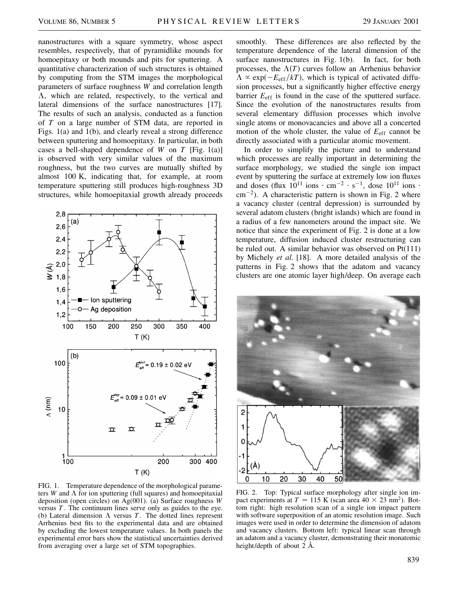nanostructures with a square symmetry, whose aspect resembles, respectively, that of pyramidlike mounds for homoepitaxy or both mounds and pits for sputtering. A quantitative characterization of such structures is obtained by computing from the STM images the morphological parameters of surface roughness *W* and correlation length  $\Lambda$ , which are related, respectively, to the vertical and lateral dimensions of the surface nanostructures [17]. The results of such an analysis, conducted as a function of *T* on a large number of STM data, are reported in Figs. 1(a) and 1(b), and clearly reveal a strong difference between sputtering and homoepitaxy. In particular, in both cases a bell-shaped dependence of *W* on *T* [Fig. 1(a)] is observed with very similar values of the maximum roughness, but the two curves are mutually shifted by almost 100 K, indicating that, for example, at room temperature sputtering still produces high-roughness 3D structures, while homoepitaxial growth already proceeds



FIG. 1. Temperature dependence of the morphological parameters  $W$  and  $\Lambda$  for ion sputtering (full squares) and homoepitaxial deposition (open circles) on Ag(001). (a) Surface roughness *W* versus *T*. The continuum lines serve only as guides to the eye. (b) Lateral dimension  $\Lambda$  versus  $T$ . The dotted lines represent Arrhenius best fits to the experimental data and are obtained by excluding the lowest temperature values. In both panels the experimental error bars show the statistical uncertainties derived from averaging over a large set of STM topographies.

smoothly. These differences are also reflected by the temperature dependence of the lateral dimension of the surface nanostructures in Fig. 1(b). In fact, for both processes, the  $\Lambda(T)$  curves follow an Arrhenius behavior  $\Lambda \propto \exp(-E_{\text{eff}}/kT)$ , which is typical of activated diffusion processes, but a significantly higher effective energy barrier  $E_{\text{eff}}$  is found in the case of the sputtered surface. Since the evolution of the nanostructures results from several elementary diffusion processes which involve single atoms or monovacancies and above all a concerted motion of the whole cluster, the value of *E*eff cannot be directly associated with a particular atomic movement.

In order to simplify the picture and to understand which processes are really important in determining the surface morphology, we studied the single ion impact event by sputtering the surface at extremely low ion fluxes and doses (flux  $10^{11}$  ions  $\cdot$  cm<sup>-2</sup>  $\cdot$  s<sup>-1</sup>, dose  $10^{11}$  ions  $\cdot$  $\text{cm}^{-2}$ ). A characteristic pattern is shown in Fig. 2 where a vacancy cluster (central depression) is surrounded by several adatom clusters (bright islands) which are found in a radius of a few nanometers around the impact site. We notice that since the experiment of Fig. 2 is done at a low temperature, diffusion induced cluster restructuring can be ruled out. A similar behavior was observed on Pt(111) by Michely *et al.* [18]. A more detailed analysis of the patterns in Fig. 2 shows that the adatom and vacancy clusters are one atomic layer high/deep. On average each



FIG. 2. Top: Typical surface morphology after single ion impact experiments at  $T = 115$  K (scan area  $40 \times 23$  nm<sup>2</sup>). Bottom right: high resolution scan of a single ion impact pattern with software superposition of an atomic resolution image. Such images were used in order to determine the dimension of adatom and vacancy clusters. Bottom left: typical linear scan through an adatom and a vacancy cluster, demonstrating their monatomic height/depth of about 2 Å.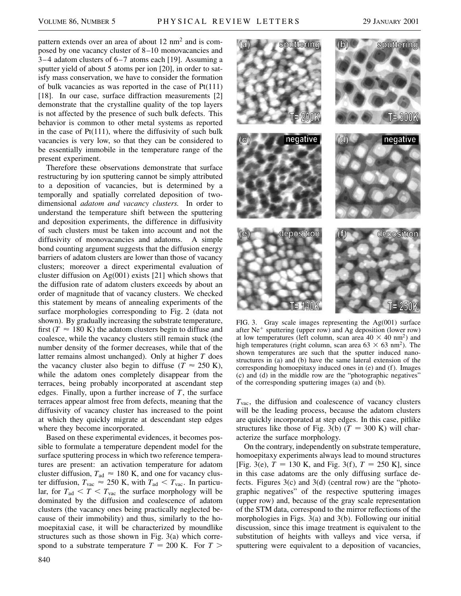pattern extends over an area of about 12 nm<sup>2</sup> and is composed by one vacancy cluster of 8–10 monovacancies and 3–4 adatom clusters of 6–7 atoms each [19]. Assuming a sputter yield of about 5 atoms per ion [20], in order to satisfy mass conservation, we have to consider the formation of bulk vacancies as was reported in the case of Pt(111) [18]. In our case, surface diffraction measurements [2] demonstrate that the crystalline quality of the top layers is not affected by the presence of such bulk defects. This behavior is common to other metal systems as reported in the case of  $Pt(111)$ , where the diffusivity of such bulk vacancies is very low, so that they can be considered to be essentially immobile in the temperature range of the present experiment.

Therefore these observations demonstrate that surface restructuring by ion sputtering cannot be simply attributed to a deposition of vacancies, but is determined by a temporally and spatially correlated deposition of twodimensional *adatom and vacancy clusters.* In order to understand the temperature shift between the sputtering and deposition experiments, the difference in diffusivity of such clusters must be taken into account and not the diffusivity of monovacancies and adatoms. A simple bond counting argument suggests that the diffusion energy barriers of adatom clusters are lower than those of vacancy clusters; moreover a direct experimental evaluation of cluster diffusion on  $Ag(001)$  exists [21] which shows that the diffusion rate of adatom clusters exceeds by about an order of magnitude that of vacancy clusters. We checked this statement by means of annealing experiments of the surface morphologies corresponding to Fig. 2 (data not shown). By gradually increasing the substrate temperature, first ( $T \approx 180$  K) the adatom clusters begin to diffuse and coalesce, while the vacancy clusters still remain stuck (the number density of the former decreases, while that of the latter remains almost unchanged). Only at higher *T* does the vacancy cluster also begin to diffuse ( $T \approx 250$  K), while the adatom ones completely disappear from the terraces, being probably incorporated at ascendant step edges. Finally, upon a further increase of *T*, the surface terraces appear almost free from defects, meaning that the diffusivity of vacancy cluster has increased to the point at which they quickly migrate at descendant step edges where they become incorporated.

Based on these experimental evidences, it becomes possible to formulate a temperature dependent model for the surface sputtering process in which two reference temperatures are present: an activation temperature for adatom cluster diffusion,  $T_{\text{ad}} \approx 180$  K, and one for vacancy cluster diffusion,  $T_{\text{vac}} \approx 250$  K, with  $T_{\text{ad}} < T_{\text{vac}}$ . In particular, for  $T_{\text{ad}} < T < T_{\text{vac}}$  the surface morphology will be dominated by the diffusion and coalescence of adatom clusters (the vacancy ones being practically neglected because of their immobility) and thus, similarly to the homoepitaxial case, it will be characterized by moundlike structures such as those shown in Fig. 3(a) which correspond to a substrate temperature  $T = 200$  K. For  $T >$ 



FIG. 3. Gray scale images representing the Ag(001) surface after  $Ne<sup>+</sup>$  sputtering (upper row) and Ag deposition (lower row) at low temperatures (left column, scan area  $40 \times 40$  nm<sup>2</sup>) and high temperatures (right column, scan area  $63 \times 63$  nm<sup>2</sup>). The shown temperatures are such that the sputter induced nanostructures in (a) and (b) have the same lateral extension of the corresponding homoepitaxy induced ones in (e) and (f). Images (c) and (d) in the middle row are the "photographic negatives" of the corresponding sputtering images (a) and (b).

 $T_{\text{vac}}$ , the diffusion and coalescence of vacancy clusters will be the leading process, because the adatom clusters are quickly incorporated at step edges. In this case, pitlike structures like those of Fig. 3(b)  $(T = 300 \text{ K})$  will characterize the surface morphology.

On the contrary, independently on substrate temperature, homoepitaxy experiments always lead to mound structures [Fig. 3(e),  $T = 130$  K, and Fig. 3(f),  $T = 250$  K], since in this case adatoms are the only diffusing surface defects. Figures 3(c) and 3(d) (central row) are the "photographic negatives" of the respective sputtering images (upper row) and, because of the gray scale representation of the STM data, correspond to the mirror reflections of the morphologies in Figs. 3(a) and 3(b). Following our initial discussion, since this image treatment is equivalent to the substitution of heights with valleys and vice versa, if sputtering were equivalent to a deposition of vacancies,